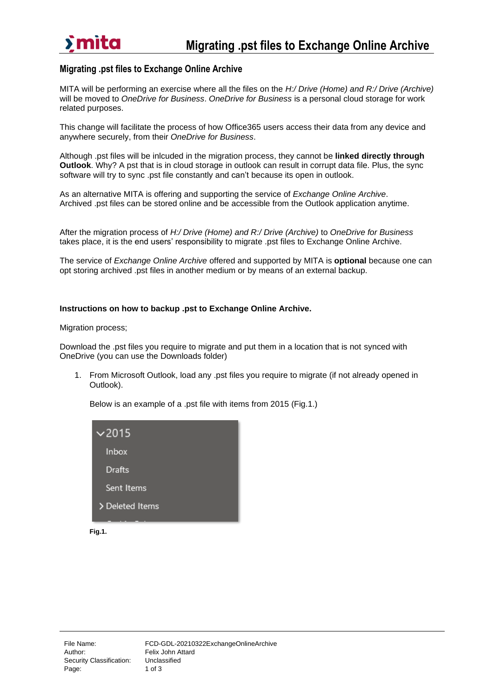

### **Migrating .pst files to Exchange Online Archive**

MITA will be performing an exercise where all the files on the *H:/ Drive (Home) and R:/ Drive (Archive)* will be moved to *OneDrive for Business*. *OneDrive for Business* is a personal cloud storage for work related purposes.

This change will facilitate the process of how Office365 users access their data from any device and anywhere securely, from their *OneDrive for Business*.

Although .pst files will be inlcuded in the migration process, they cannot be **linked directly through Outlook**. Why? A pst that is in cloud storage in outlook can result in corrupt data file. Plus, the sync software will try to sync .pst file constantly and can't because its open in outlook.

As an alternative MITA is offering and supporting the service of *Exchange Online Archive*. Archived .pst files can be stored online and be accessible from the Outlook application anytime.

After the migration process of *H:/ Drive (Home) and R:/ Drive (Archive)* to *OneDrive for Business* takes place, it is the end users' responsibility to migrate .pst files to Exchange Online Archive.

The service of *Exchange Online Archive* offered and supported by MITA is **optional** because one can opt storing archived .pst files in another medium or by means of an external backup.

### **Instructions on how to backup .pst to Exchange Online Archive.**

Migration process;

Download the .pst files you require to migrate and put them in a location that is not synced with OneDrive (you can use the Downloads folder)

1. From Microsoft Outlook, load any .pst files you require to migrate (if not already opened in Outlook).

Below is an example of a .pst file with items from 2015 (Fig.1.)

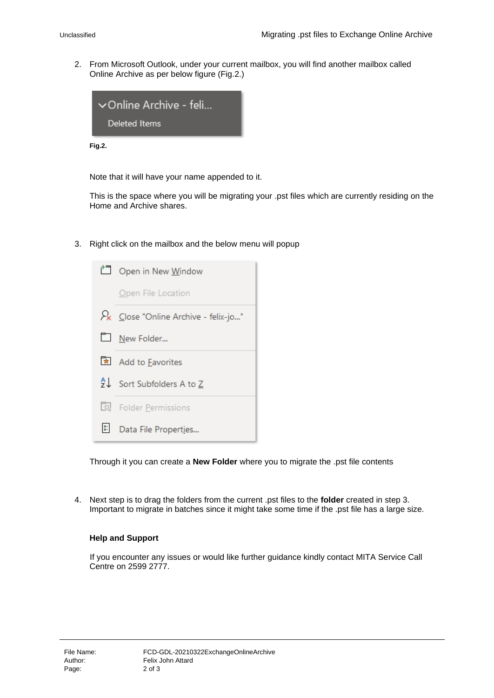2. From Microsoft Outlook, under your current mailbox, you will find another mailbox called Online Archive as per below figure (Fig.2.)



**Fig.2.**

Note that it will have your name appended to it.

This is the space where you will be migrating your .pst files which are currently residing on the Home and Archive shares.

3. Right click on the mailbox and the below menu will popup



Through it you can create a **New Folder** where you to migrate the .pst file contents

4. Next step is to drag the folders from the current .pst files to the **folder** created in step 3. Important to migrate in batches since it might take some time if the .pst file has a large size.

#### **Help and Support**

If you encounter any issues or would like further guidance kindly contact MITA Service Call Centre on 2599 2777.